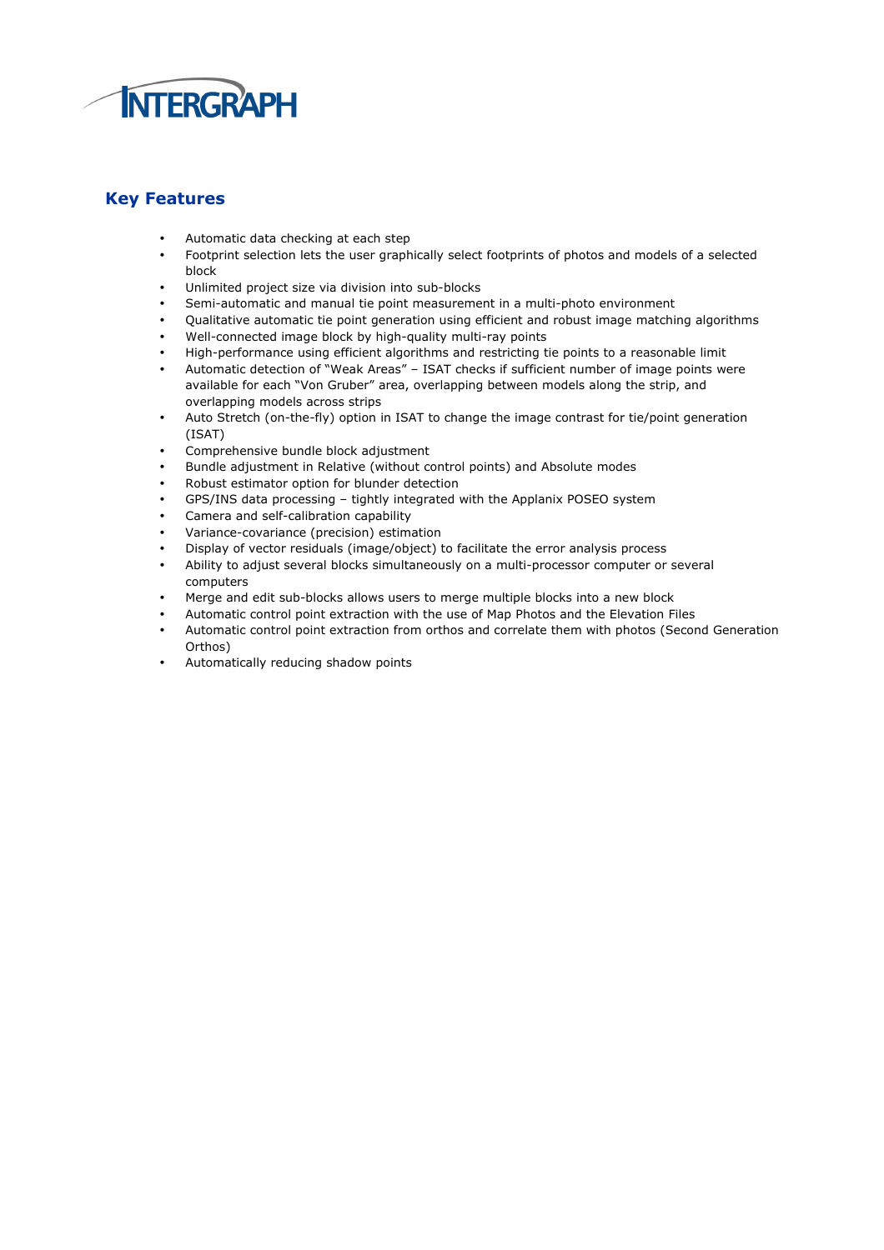

## Key Features

- Automatic data checking at each step
- Footprint selection lets the user graphically select footprints of photos and models of a selected block
- Unlimited project size via division into sub-blocks
- Semi-automatic and manual tie point measurement in a multi-photo environment
- Qualitative automatic tie point generation using efficient and robust image matching algorithms
- Well-connected image block by high-quality multi-ray points
- High-performance using efficient algorithms and restricting tie points to a reasonable limit
- Automatic detection of "Weak Areas" ISAT checks if sufficient number of image points were available for each "Von Gruber" area, overlapping between models along the strip, and overlapping models across strips
- Auto Stretch (on-the-fly) option in ISAT to change the image contrast for tie/point generation (ISAT)
- Comprehensive bundle block adjustment
- Bundle adjustment in Relative (without control points) and Absolute modes
- Robust estimator option for blunder detection
- GPS/INS data processing tightly integrated with the Applanix POSEO system
- Camera and self-calibration capability
- Variance-covariance (precision) estimation
- Display of vector residuals (image/object) to facilitate the error analysis process
- Ability to adjust several blocks simultaneously on a multi-processor computer or several computers
- Merge and edit sub-blocks allows users to merge multiple blocks into a new block
- Automatic control point extraction with the use of Map Photos and the Elevation Files
- Automatic control point extraction from orthos and correlate them with photos (Second Generation Orthos)
- Automatically reducing shadow points